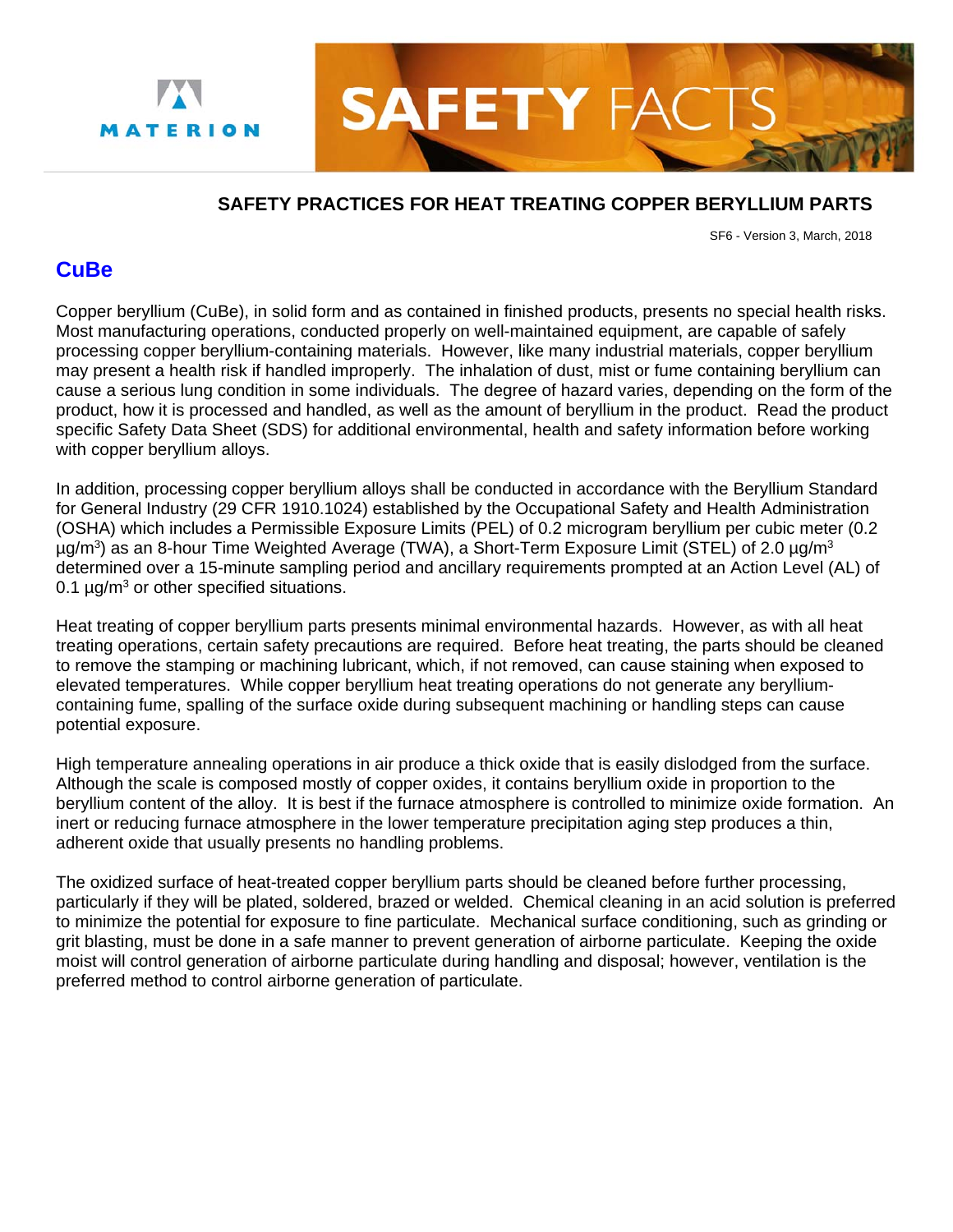



## **SAFETY PRACTICES FOR HEAT TREATING COPPER BERYLLIUM PARTS**

SF6 - Version 3, March, 2018

## **CuBe**

Copper beryllium (CuBe), in solid form and as contained in finished products, presents no special health risks. Most manufacturing operations, conducted properly on well-maintained equipment, are capable of safely processing copper beryllium-containing materials. However, like many industrial materials, copper beryllium may present a health risk if handled improperly. The inhalation of dust, mist or fume containing beryllium can cause a serious lung condition in some individuals. The degree of hazard varies, depending on the form of the product, how it is processed and handled, as well as the amount of beryllium in the product. Read the product specific Safety Data Sheet (SDS) for additional environmental, health and safety information before working with copper beryllium alloys.

In addition, processing copper beryllium alloys shall be conducted in accordance with the Beryllium Standard for General Industry (29 CFR 1910.1024) established by the Occupational Safety and Health Administration (OSHA) which includes a Permissible Exposure Limits (PEL) of 0.2 microgram beryllium per cubic meter (0.2 µg/m<sup>3</sup>) as an 8-hour Time Weighted Average (TWA), a Short-Term Exposure Limit (STEL) of 2.0 µg/m<sup>3</sup> determined over a 15-minute sampling period and ancillary requirements prompted at an Action Level (AL) of 0.1  $\mu$ g/m<sup>3</sup> or other specified situations.

Heat treating of copper beryllium parts presents minimal environmental hazards. However, as with all heat treating operations, certain safety precautions are required. Before heat treating, the parts should be cleaned to remove the stamping or machining lubricant, which, if not removed, can cause staining when exposed to elevated temperatures. While copper beryllium heat treating operations do not generate any berylliumcontaining fume, spalling of the surface oxide during subsequent machining or handling steps can cause potential exposure.

High temperature annealing operations in air produce a thick oxide that is easily dislodged from the surface. Although the scale is composed mostly of copper oxides, it contains beryllium oxide in proportion to the beryllium content of the alloy. It is best if the furnace atmosphere is controlled to minimize oxide formation. An inert or reducing furnace atmosphere in the lower temperature precipitation aging step produces a thin, adherent oxide that usually presents no handling problems.

The oxidized surface of heat-treated copper beryllium parts should be cleaned before further processing, particularly if they will be plated, soldered, brazed or welded. Chemical cleaning in an acid solution is preferred to minimize the potential for exposure to fine particulate. Mechanical surface conditioning, such as grinding or grit blasting, must be done in a safe manner to prevent generation of airborne particulate. Keeping the oxide moist will control generation of airborne particulate during handling and disposal; however, ventilation is the preferred method to control airborne generation of particulate.